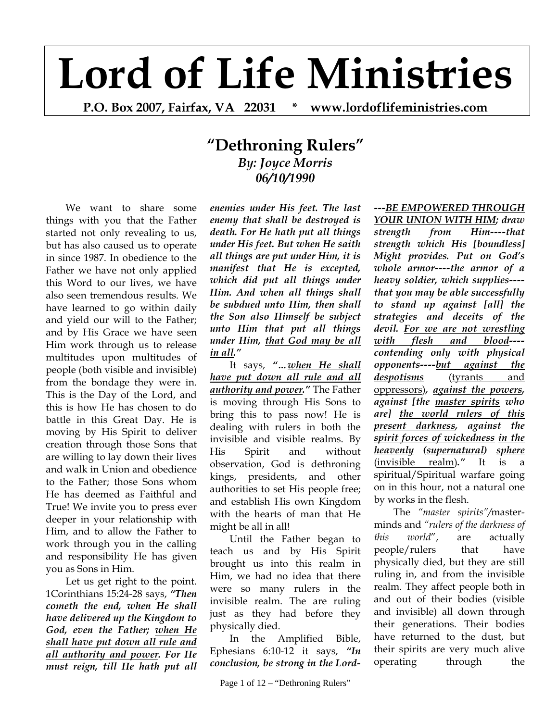## **Lord of Life Ministries**

**P.O. Box 2007, Fairfax, VA 22031 \* www.lordoflifeministries.com** 

## **"Dethroning Rulers"** *By: Joyce Morris 06/10/1990*

We want to share some things with you that the Father started not only revealing to us, but has also caused us to operate in since 1987. In obedience to the Father we have not only applied this Word to our lives, we have also seen tremendous results. We have learned to go within daily and yield our will to the Father; and by His Grace we have seen Him work through us to release multitudes upon multitudes of people (both visible and invisible) from the bondage they were in. This is the Day of the Lord, and this is how He has chosen to do battle in this Great Day. He is moving by His Spirit to deliver creation through those Sons that are willing to lay down their lives and walk in Union and obedience to the Father; those Sons whom He has deemed as Faithful and True! We invite you to press ever deeper in your relationship with Him, and to allow the Father to work through you in the calling and responsibility He has given you as Sons in Him.

Let us get right to the point. 1Corinthians 15:24-28 says, *"Then cometh the end, when He shall have delivered up the Kingdom to God, even the Father; when He shall have put down all rule and all authority and power. For He must reign, till He hath put all* 

*enemies under His feet. The last enemy that shall be destroyed is death. For He hath put all things under His feet. But when He saith all things are put under Him, it is manifest that He is excepted, which did put all things under Him. And when all things shall be subdued unto Him, then shall the Son also Himself be subject unto Him that put all things under Him, that God may be all in all."*

It says, *"…when He shall have put down all rule and all authority and power."* The Father is moving through His Sons to bring this to pass now! He is dealing with rulers in both the invisible and visible realms. By His Spirit and without observation, God is dethroning kings, presidents, and other authorities to set His people free; and establish His own Kingdom with the hearts of man that He might be all in all!

Until the Father began to teach us and by His Spirit brought us into this realm in Him, we had no idea that there were so many rulers in the invisible realm. The are ruling just as they had before they physically died.

In the Amplified Bible, Ephesians 6:10-12 it says, *"In conclusion, be strong in the Lord-* *---BE EMPOWERED THROUGH YOUR UNION WITH HIM; draw strength from Him----that strength which His [boundless] Might provides. Put on God's whole armor----the armor of a heavy soldier, which supplies--- that you may be able successfully to stand up against [all] the strategies and deceits of the devil. For we are not wrestling with flesh and blood--- contending only with physical opponents----but against the despotisms* (tyrants and oppressors)*, against the powers, against [the master spirits who are] the world rulers of this present darkness, against the spirit forces of wickedness in the heavenly (supernatural) sphere* (invisible realm)*."* It is a spiritual/Spiritual warfare going on in this hour, not a natural one by works in the flesh.

The *"master spirits"/*masterminds and *"rulers of the darkness of this world*", are actually people/rulers that have physically died, but they are still ruling in, and from the invisible realm. They affect people both in and out of their bodies (visible and invisible) all down through their generations. Their bodies have returned to the dust, but their spirits are very much alive operating through the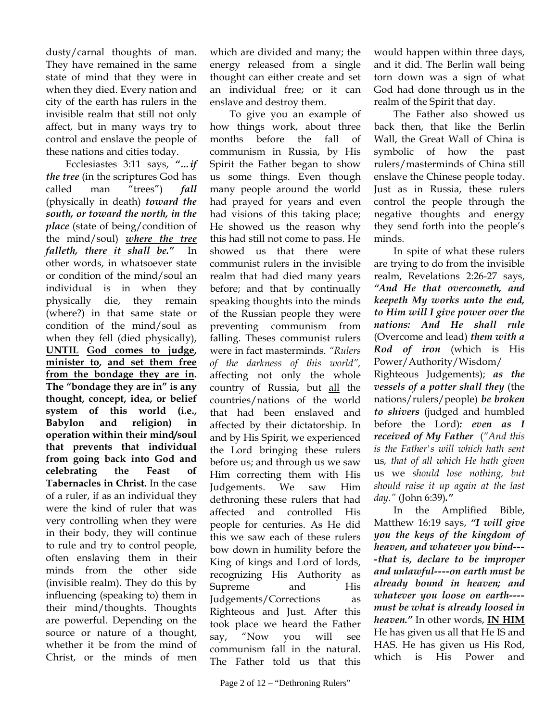dusty/carnal thoughts of man. They have remained in the same state of mind that they were in when they died. Every nation and city of the earth has rulers in the invisible realm that still not only affect, but in many ways try to control and enslave the people of these nations and cities today.

Ecclesiastes 3:11 says, *"…if the tree* (in the scriptures God has called man "trees") *fall*  (physically in death) *toward the south, or toward the north, in the place* (state of being/condition of the mind/soul) *where the tree falleth, there it shall be."* In other words, in whatsoever state or condition of the mind/soul an individual is in when they physically die, they remain (where?) in that same state or condition of the mind/soul as when they fell (died physically), **UNTIL God comes to judge, minister to, and set them free from the bondage they are in. The "bondage they are in" is any thought, concept, idea, or belief system of this world (i.e., Babylon and religion) in operation within their mind/soul that prevents that individual from going back into God and celebrating the Feast of Tabernacles in Christ.** In the case of a ruler, if as an individual they were the kind of ruler that was very controlling when they were in their body, they will continue to rule and try to control people, often enslaving them in their minds from the other side (invisible realm). They do this by influencing (speaking to) them in their mind/thoughts. Thoughts are powerful. Depending on the source or nature of a thought, whether it be from the mind of Christ, or the minds of men

which are divided and many; the energy released from a single thought can either create and set an individual free; or it can enslave and destroy them.

To give you an example of how things work, about three months before the fall of communism in Russia, by His Spirit the Father began to show us some things. Even though many people around the world had prayed for years and even had visions of this taking place; He showed us the reason why this had still not come to pass. He showed us that there were communist rulers in the invisible realm that had died many years before; and that by continually speaking thoughts into the minds of the Russian people they were preventing communism from falling. Theses communist rulers were in fact masterminds. *"Rulers of the darkness of this world",* affecting not only the whole country of Russia, but all the countries/nations of the world that had been enslaved and affected by their dictatorship. In and by His Spirit, we experienced the Lord bringing these rulers before us; and through us we saw Him correcting them with His Judgements. We saw Him dethroning these rulers that had affected and controlled His people for centuries. As He did this we saw each of these rulers bow down in humility before the King of kings and Lord of lords, recognizing His Authority as Supreme and His Judgements/Corrections as Righteous and Just. After this took place we heard the Father say, "Now you will see communism fall in the natural. The Father told us that this

would happen within three days, and it did. The Berlin wall being torn down was a sign of what God had done through us in the realm of the Spirit that day.

The Father also showed us back then, that like the Berlin Wall, the Great Wall of China is symbolic of how the past rulers/masterminds of China still enslave the Chinese people today. Just as in Russia, these rulers control the people through the negative thoughts and energy they send forth into the people's minds.

In spite of what these rulers are trying to do from the invisible realm, Revelations 2:26-27 says, *"And He that overcometh, and keepeth My works unto the end, to Him will I give power over the nations: And He shall rule* (Overcome and lead) *them with a Rod of iron* (which is His Power/Authority/Wisdom/

Righteous Judgements); *as the vessels of a potter shall they* (the nations/rulers/people) *be broken to shivers* (judged and humbled before the Lord)*: even as I received of My Father* (*"And this is the Father's will which hath sent*  us*, that of all which He hath given*  us we *should lose nothing, but should raise it up again at the last day."* (John 6:39)*."*

 In the Amplified Bible, Matthew 16:19 says, *"I will give you the keys of the kingdom of heaven, and whatever you bind--- -that is, declare to be improper and unlawful----on earth must be already bound in heaven; and whatever you loose on earth--- must be what is already loosed in heaven."* In other words, **IN HIM** He has given us all that He IS and HAS. He has given us His Rod, which is His Power and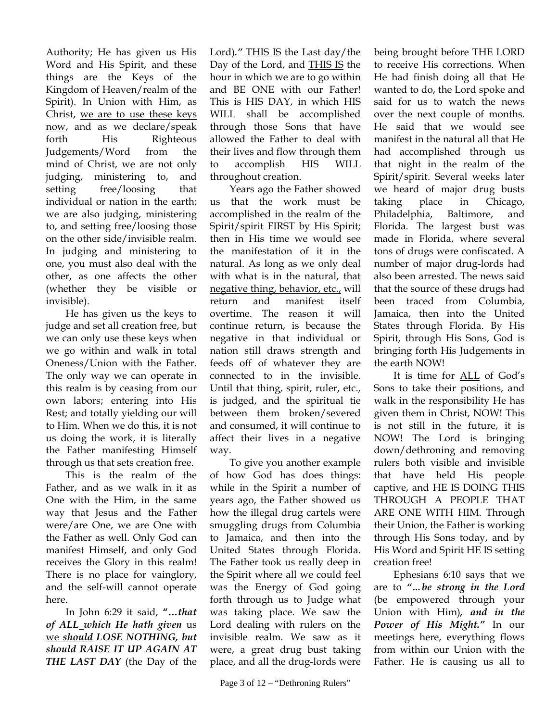Authority; He has given us His Word and His Spirit, and these things are the Keys of the Kingdom of Heaven/realm of the Spirit). In Union with Him, as Christ, we are to use these keys now, and as we declare/speak forth His Righteous Judgements/Word from the mind of Christ, we are not only judging, ministering to, and setting free/loosing that individual or nation in the earth; we are also judging, ministering to, and setting free/loosing those on the other side/invisible realm. In judging and ministering to one, you must also deal with the other, as one affects the other (whether they be visible or invisible).

He has given us the keys to judge and set all creation free, but we can only use these keys when we go within and walk in total Oneness/Union with the Father. The only way we can operate in this realm is by ceasing from our own labors; entering into His Rest; and totally yielding our will to Him. When we do this, it is not us doing the work, it is literally the Father manifesting Himself through us that sets creation free.

This is the realm of the Father, and as we walk in it as One with the Him, in the same way that Jesus and the Father were/are One, we are One with the Father as well. Only God can manifest Himself, and only God receives the Glory in this realm! There is no place for vainglory, and the self-will cannot operate here.

In John 6:29 it said, **"…***that of ALL which He hath given* us we *should LOSE NOTHING, but should RAISE IT UP AGAIN AT THE LAST DAY* (the Day of the

Lord)*."* THIS IS the Last day/the Day of the Lord, and THIS IS the hour in which we are to go within and BE ONE with our Father! This is HIS DAY, in which HIS WILL shall be accomplished through those Sons that have allowed the Father to deal with their lives and flow through them to accomplish HIS WILL throughout creation.

 Years ago the Father showed us that the work must be accomplished in the realm of the Spirit/spirit FIRST by His Spirit; then in His time we would see the manifestation of it in the natural. As long as we only deal with what is in the natural, that negative thing, behavior, etc., will return and manifest itself overtime. The reason it will continue return, is because the negative in that individual or nation still draws strength and feeds off of whatever they are connected to in the invisible. Until that thing, spirit, ruler, etc., is judged, and the spiritual tie between them broken/severed and consumed, it will continue to affect their lives in a negative way.

 To give you another example of how God has does things: while in the Spirit a number of years ago, the Father showed us how the illegal drug cartels were smuggling drugs from Columbia to Jamaica, and then into the United States through Florida. The Father took us really deep in the Spirit where all we could feel was the Energy of God going forth through us to Judge what was taking place. We saw the Lord dealing with rulers on the invisible realm. We saw as it were, a great drug bust taking place, and all the drug-lords were

being brought before THE LORD to receive His corrections. When He had finish doing all that He wanted to do, the Lord spoke and said for us to watch the news over the next couple of months. He said that we would see manifest in the natural all that He had accomplished through us that night in the realm of the Spirit/spirit. Several weeks later we heard of major drug busts taking place in Chicago, Philadelphia, Baltimore, and Florida. The largest bust was made in Florida, where several tons of drugs were confiscated. A number of major drug-lords had also been arrested. The news said that the source of these drugs had been traced from Columbia, Jamaica, then into the United States through Florida. By His Spirit, through His Sons, God is bringing forth His Judgements in the earth NOW!

 It is time for ALL of God's Sons to take their positions, and walk in the responsibility He has given them in Christ, NOW! This is not still in the future, it is NOW! The Lord is bringing down/dethroning and removing rulers both visible and invisible that have held His people captive, and HE IS DOING THIS THROUGH A PEOPLE THAT ARE ONE WITH HIM. Through their Union, the Father is working through His Sons today, and by His Word and Spirit HE IS setting creation free!

 Ephesians 6:10 says that we are to *"…be strong in the Lord*  (be empowered through your Union with Him)*, and in the Power of His Might."* In our meetings here, everything flows from within our Union with the Father. He is causing us all to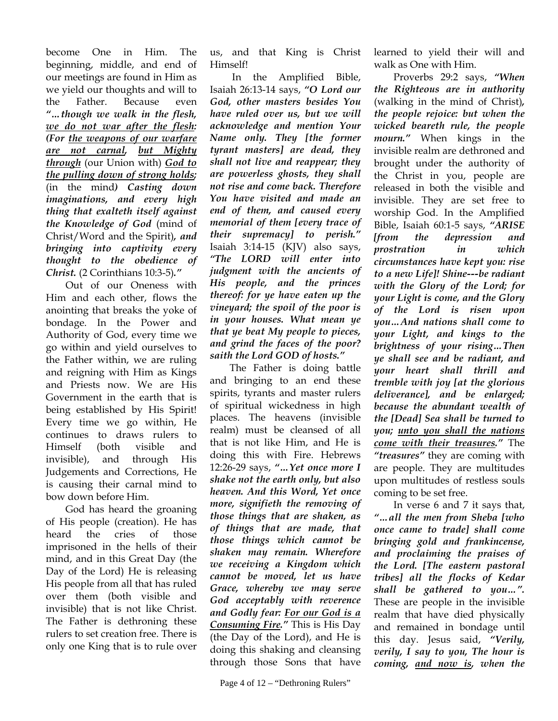become One in Him. The beginning, middle, and end of our meetings are found in Him as we yield our thoughts and will to the Father. Because even *"…though we walk in the flesh, we do not war after the flesh: (For the weapons of our warfare are not carnal, but Mighty through* (our Union with) *God to the pulling down of strong holds;*  (in the mind*) Casting down imaginations, and every high thing that exalteth itself against the Knowledge of God* (mind of Christ/Word and the Spirit)*, and bringing into captivity every thought to the obedience of Christ.* (2 Corinthians 10:3-5)*."*

Out of our Oneness with Him and each other, flows the anointing that breaks the yoke of bondage. In the Power and Authority of God, every time we go within and yield ourselves to the Father within, we are ruling and reigning with Him as Kings and Priests now. We are His Government in the earth that is being established by His Spirit! Every time we go within, He continues to draws rulers to Himself (both visible and invisible), and through His Judgements and Corrections, He is causing their carnal mind to bow down before Him.

 God has heard the groaning of His people (creation). He has heard the cries of those imprisoned in the hells of their mind, and in this Great Day (the Day of the Lord) He is releasing His people from all that has ruled over them (both visible and invisible) that is not like Christ. The Father is dethroning these rulers to set creation free. There is only one King that is to rule over

us, and that King is Christ Himself!

 In the Amplified Bible, Isaiah 26:13-14 says, *"O Lord our God, other masters besides You have ruled over us, but we will acknowledge and mention Your Name only. They [the former tyrant masters] are dead, they shall not live and reappear; they are powerless ghosts, they shall not rise and come back. Therefore You have visited and made an end of them, and caused every memorial of them [every trace of their supremacy] to perish."* Isaiah 3:14-15 (KJV) also says, *"The LORD will enter into judgment with the ancients of His people, and the princes thereof: for ye have eaten up the vineyard; the spoil of the poor is in your houses. What mean ye that ye beat My people to pieces, and grind the faces of the poor? saith the Lord GOD of hosts."*

 The Father is doing battle and bringing to an end these spirits, tyrants and master rulers of spiritual wickedness in high places. The heavens (invisible realm) must be cleansed of all that is not like Him, and He is doing this with Fire. Hebrews 12:26-29 says, *"…Yet once more I shake not the earth only, but also heaven. And this Word, Yet once more, signifieth the removing of those things that are shaken, as of things that are made, that those things which cannot be shaken may remain. Wherefore we receiving a Kingdom which cannot be moved, let us have Grace, whereby we may serve God acceptably with reverence and Godly fear: For our God is a Consuming Fire."* This is His Day (the Day of the Lord), and He is doing this shaking and cleansing through those Sons that have

learned to yield their will and walk as One with Him.

 Proverbs 29:2 says, *"When the Righteous are in authority*  (walking in the mind of Christ)*, the people rejoice: but when the wicked beareth rule, the people mourn."* When kings in the invisible realm are dethroned and brought under the authority of the Christ in you, people are released in both the visible and invisible. They are set free to worship God. In the Amplified Bible, Isaiah 60:1-5 says, *"ARISE [from the depression and prostration in which circumstances have kept you: rise to a new Life]! Shine---be radiant with the Glory of the Lord; for your Light is come, and the Glory of the Lord is risen upon you…And nations shall come to your Light, and kings to the brightness of your rising…Then ye shall see and be radiant, and your heart shall thrill and tremble with joy [at the glorious deliverance], and be enlarged; because the abundant wealth of the [Dead] Sea shall be turned to you; unto you shall the nations come with their treasures."* The *"treasures"* they are coming with are people. They are multitudes upon multitudes of restless souls coming to be set free.

 In verse 6 and 7 it says that, *"…all the men from Sheba [who once came to trade] shall come bringing gold and frankincense, and proclaiming the praises of the Lord. [The eastern pastoral tribes] all the flocks of Kedar shall be gathered to you…".* These are people in the invisible realm that have died physically and remained in bondage until this day. Jesus said, *"Verily, verily, I say to you, The hour is coming, and now is, when the*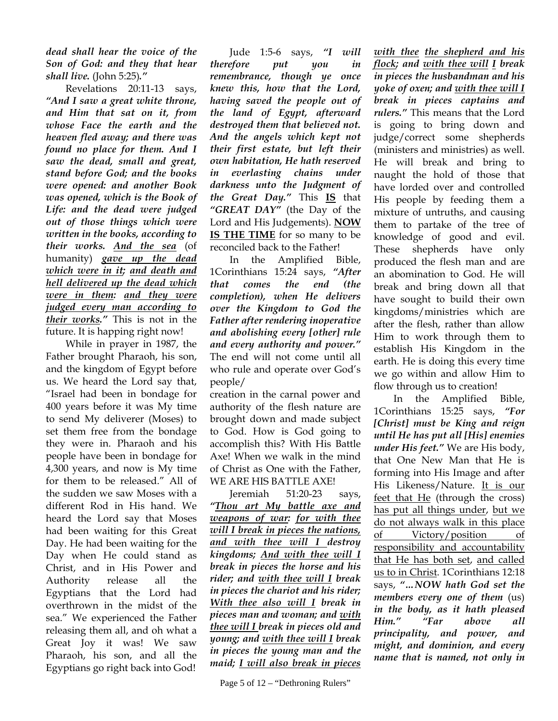*dead shall hear the voice of the Son of God: and they that hear shall live.* (John 5:25)*."* 

Revelations 20:11-13 says, *"And I saw a great white throne, and Him that sat on it, from whose Face the earth and the heaven fled away; and there was found no place for them. And I saw the dead, small and great, stand before God; and the books were opened: and another Book was opened, which is the Book of Life: and the dead were judged out of those things which were written in the books, according to their works. And the sea* (of humanity) *gave up the dead which were in it; and death and hell delivered up the dead which were in them: and they were judged every man according to their works."* This is not in the future. It is happing right now!

 While in prayer in 1987, the Father brought Pharaoh, his son, and the kingdom of Egypt before us. We heard the Lord say that, "Israel had been in bondage for 400 years before it was My time to send My deliverer (Moses) to set them free from the bondage they were in. Pharaoh and his people have been in bondage for 4,300 years, and now is My time for them to be released." All of the sudden we saw Moses with a different Rod in His hand. We heard the Lord say that Moses had been waiting for this Great Day. He had been waiting for the Day when He could stand as Christ, and in His Power and Authority release all the Egyptians that the Lord had overthrown in the midst of the sea." We experienced the Father releasing them all, and oh what a Great Joy it was! We saw Pharaoh, his son, and all the Egyptians go right back into God!

 Jude 1:5-6 says, *"I will therefore put you in remembrance, though ye once knew this, how that the Lord, having saved the people out of the land of Egypt, afterward destroyed them that believed not. And the angels which kept not their first estate, but left their own habitation, He hath reserved in everlasting chains under darkness unto the Judgment of the Great Day."* This **IS** that *"GREAT DAY"* (the Day of the Lord and His Judgements). **NOW IS THE TIME** for so many to be reconciled back to the Father!

 In the Amplified Bible, 1Corinthians 15:24 says, *"After that comes the end (the completion), when He delivers over the Kingdom to God the Father after rendering inoperative and abolishing every [other] rule and every authority and power."* The end will not come until all who rule and operate over God's people/

creation in the carnal power and authority of the flesh nature are brought down and made subject to God. How is God going to accomplish this? With His Battle Axe! When we walk in the mind of Christ as One with the Father, WE ARE HIS BATTLE AXE!

 Jeremiah 51:20-23 says, *"Thou art My battle axe and weapons of war: for with thee will I break in pieces the nations, and with thee will I destroy kingdoms; And with thee will I break in pieces the horse and his rider; and with thee will I break in pieces the chariot and his rider; With thee also will I break in pieces man and woman; and with thee will I break in pieces old and young; and with thee will I break in pieces the young man and the maid; I will also break in pieces* 

*with thee the shepherd and his flock; and with thee will I break in pieces the husbandman and his yoke of oxen; and with thee will I break in pieces captains and rulers."* This means that the Lord is going to bring down and judge/correct some shepherds (ministers and ministries) as well. He will break and bring to naught the hold of those that have lorded over and controlled His people by feeding them a mixture of untruths, and causing them to partake of the tree of knowledge of good and evil. These shepherds have only produced the flesh man and are an abomination to God. He will break and bring down all that have sought to build their own kingdoms/ministries which are after the flesh, rather than allow Him to work through them to establish His Kingdom in the earth. He is doing this every time we go within and allow Him to flow through us to creation!

 In the Amplified Bible, 1Corinthians 15:25 says, *"For [Christ] must be King and reign until He has put all [His] enemies under His feet."* We are His body, that One New Man that He is forming into His Image and after His Likeness/Nature. It is our feet that He (through the cross) has put all things under, but we do not always walk in this place of Victory/position of responsibility and accountability that He has both set, and called us to in Christ. 1Corinthians 12:18 says, *"…NOW hath God set the members every one of them* (us) *in the body, as it hath pleased Him." "Far above all principality, and power, and might, and dominion, and every name that is named, not only in*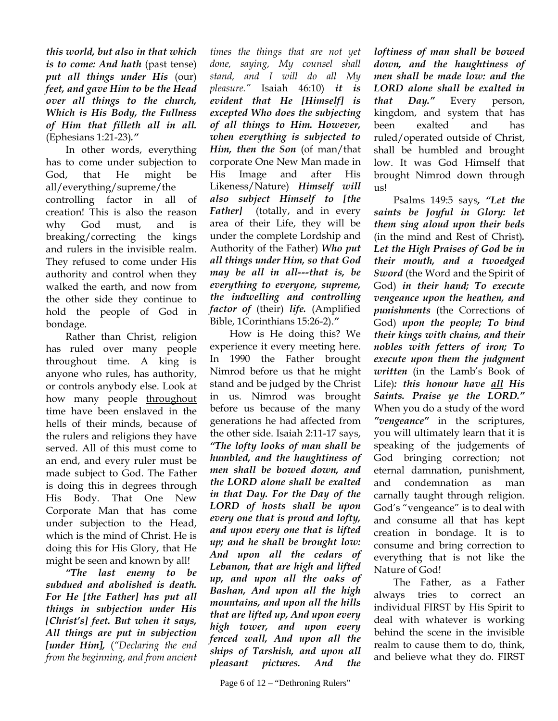*this world, but also in that which is to come: And hath* (past tense) *put all things under His* (our) *feet, and gave Him to be the Head over all things to the church, Which is His Body, the Fullness of Him that filleth all in all.* (Ephesians 1:21-23)*."* 

In other words, everything has to come under subjection to God, that He might be all/everything/supreme/the controlling factor in all of creation! This is also the reason why God must, and is breaking/correcting the kings and rulers in the invisible realm. They refused to come under His authority and control when they walked the earth, and now from the other side they continue to hold the people of God in bondage.

 Rather than Christ, religion has ruled over many people throughout time. A king is anyone who rules, has authority, or controls anybody else. Look at how many people throughout time have been enslaved in the hells of their minds, because of the rulers and religions they have served. All of this must come to an end, and every ruler must be made subject to God. The Father is doing this in degrees through His Body. That One New Corporate Man that has come under subjection to the Head, which is the mind of Christ. He is doing this for His Glory, that He might be seen and known by all!

*"The last enemy to be subdued and abolished is death. For He [the Father] has put all things in subjection under His [Christ's] feet. But when it says, All things are put in subjection [under Him],* (*"Declaring the end from the beginning, and from ancient* 

*times the things that are not yet done, saying, My counsel shall stand, and I will do all My pleasure."* Isaiah 46:10) *it is evident that He [Himself] is excepted Who does the subjecting of all things to Him. However, when everything is subjected to Him, then the Son* (of man/that corporate One New Man made in His Image and after His Likeness/Nature) *Himself will also subject Himself to [the Father]* (totally, and in every area of their Life, they will be under the complete Lordship and Authority of the Father) *Who put all things under Him, so that God may be all in all---that is, be everything to everyone, supreme, the indwelling and controlling factor of* (their) *life.* (Amplified Bible, 1Corinthians 15:26-2).*"* 

How is He doing this? We experience it every meeting here. In 1990 the Father brought Nimrod before us that he might stand and be judged by the Christ in us. Nimrod was brought before us because of the many generations he had affected from the other side. Isaiah 2:11-17 says, *"The lofty looks of man shall be humbled, and the haughtiness of men shall be bowed down, and the LORD alone shall be exalted in that Day. For the Day of the LORD of hosts shall be upon every one that is proud and lofty, and upon every one that is lifted up; and he shall be brought low: And upon all the cedars of Lebanon, that are high and lifted up, and upon all the oaks of Bashan, And upon all the high mountains, and upon all the hills that are lifted up, And upon every high tower, and upon every fenced wall, And upon all the ships of Tarshish, and upon all pleasant pictures. And the* 

Page 6 of  $12$  – "Dethroning Rulers"

*loftiness of man shall be bowed down, and the haughtiness of men shall be made low: and the LORD alone shall be exalted in that Day."* Every person, kingdom, and system that has been exalted and has ruled/operated outside of Christ, shall be humbled and brought low. It was God Himself that brought Nimrod down through us!

 Psalms 149:5 says*, "Let the saints be Joyful in Glory: let them sing aloud upon their beds*  (in the mind and Rest of Christ)*. Let the High Praises of God be in their mouth, and a twoedged Sword* (the Word and the Spirit of God) *in their hand; To execute vengeance upon the heathen, and punishments* (the Corrections of God) *upon the people; To bind their kings with chains, and their nobles with fetters of iron; To execute upon them the judgment written* (in the Lamb's Book of Life)*: this honour have all His Saints. Praise ye the LORD."*  When you do a study of the word *"vengeance"* in the scriptures, you will ultimately learn that it is speaking of the judgements of God bringing correction; not eternal damnation, punishment, and condemnation as man carnally taught through religion. God's "vengeance" is to deal with and consume all that has kept creation in bondage. It is to consume and bring correction to everything that is not like the Nature of God!

 The Father, as a Father always tries to correct an individual FIRST by His Spirit to deal with whatever is working behind the scene in the invisible realm to cause them to do, think, and believe what they do. FIRST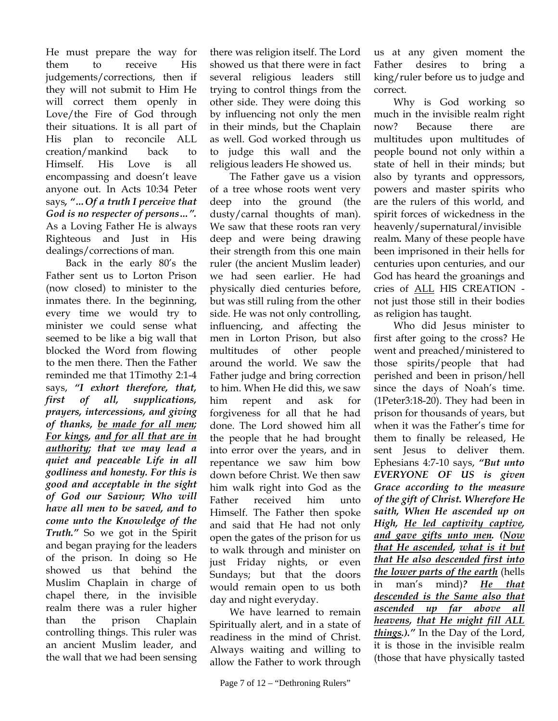He must prepare the way for them to receive His judgements/corrections, then if they will not submit to Him He will correct them openly in Love/the Fire of God through their situations. It is all part of His plan to reconcile ALL creation/mankind back to Himself. His Love is all encompassing and doesn't leave anyone out. In Acts 10:34 Peter says*, "…Of a truth I perceive that God is no respecter of persons…".* As a Loving Father He is always Righteous and Just in His dealings/corrections of man.

 Back in the early 80's the Father sent us to Lorton Prison (now closed) to minister to the inmates there. In the beginning, every time we would try to minister we could sense what seemed to be like a big wall that blocked the Word from flowing to the men there. Then the Father reminded me that 1Timothy 2:1-4 says, *"I exhort therefore, that, first of all, supplications, prayers, intercessions, and giving of thanks, be made for all men; For kings, and for all that are in authority; that we may lead a quiet and peaceable Life in all godliness and honesty. For this is good and acceptable in the sight of God our Saviour; Who will have all men to be saved, and to come unto the Knowledge of the Truth."* So we got in the Spirit and began praying for the leaders of the prison. In doing so He showed us that behind the Muslim Chaplain in charge of chapel there, in the invisible realm there was a ruler higher than the prison Chaplain controlling things. This ruler was an ancient Muslim leader, and the wall that we had been sensing

there was religion itself. The Lord showed us that there were in fact several religious leaders still trying to control things from the other side. They were doing this by influencing not only the men in their minds, but the Chaplain as well. God worked through us to judge this wall and the religious leaders He showed us.

 The Father gave us a vision of a tree whose roots went very deep into the ground (the dusty/carnal thoughts of man). We saw that these roots ran very deep and were being drawing their strength from this one main ruler (the ancient Muslim leader) we had seen earlier. He had physically died centuries before, but was still ruling from the other side. He was not only controlling, influencing, and affecting the men in Lorton Prison, but also multitudes of other people around the world. We saw the Father judge and bring correction to him. When He did this, we saw him repent and ask for forgiveness for all that he had done. The Lord showed him all the people that he had brought into error over the years, and in repentance we saw him bow down before Christ. We then saw him walk right into God as the Father received him unto Himself. The Father then spoke and said that He had not only open the gates of the prison for us to walk through and minister on just Friday nights, or even Sundays; but that the doors would remain open to us both day and night everyday.

 We have learned to remain Spiritually alert, and in a state of readiness in the mind of Christ. Always waiting and willing to allow the Father to work through us at any given moment the Father desires to bring a king/ruler before us to judge and correct.

 Why is God working so much in the invisible realm right now? Because there are multitudes upon multitudes of people bound not only within a state of hell in their minds; but also by tyrants and oppressors, powers and master spirits who are the rulers of this world, and spirit forces of wickedness in the heavenly/supernatural/invisible realm*.* Many of these people have been imprisoned in their hells for centuries upon centuries, and our God has heard the groanings and cries of ALL HIS CREATION not just those still in their bodies as religion has taught.

Who did Jesus minister to first after going to the cross? He went and preached/ministered to those spirits/people that had perished and been in prison/hell since the days of Noah's time. (1Peter3:18-20). They had been in prison for thousands of years, but when it was the Father's time for them to finally be released, He sent Jesus to deliver them. Ephesians 4:7-10 says, *"But unto EVERYONE OF US is given Grace according to the measure of the gift of Christ. Wherefore He saith, When He ascended up on High, He led captivity captive, and gave gifts unto men. (Now that He ascended, what is it but that He also descended first into the lower parts of the earth* (hells in man's mind)*? He that descended is the Same also that ascended up far above all heavens, that He might fill ALL things.)."* In the Day of the Lord, it is those in the invisible realm (those that have physically tasted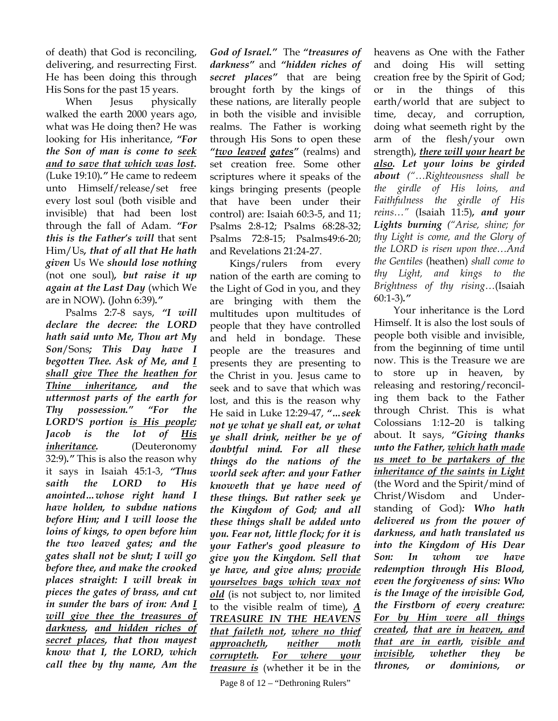of death) that God is reconciling, delivering, and resurrecting First. He has been doing this through His Sons for the past 15 years.

When Jesus physically walked the earth 2000 years ago, what was He doing then? He was looking for His inheritance, *"For the Son of man is come to seek and to save that which was lost.* (Luke 19:10)*."* He came to redeem unto Himself/release/set free every lost soul (both visible and invisible) that had been lost through the fall of Adam. *"For this is the Father's will* that sent Him/Us*, that of all that He hath given* Us We *should lose nothing*  (not one soul)*, but raise it up again at the Last Day* (which We are in NOW)*.* (John 6:39)*."*

 Psalms 2:7-8 says, *"I will declare the decree: the LORD hath said unto Me, Thou art My Son*/Sons*; This Day have I begotten Thee. Ask of Me, and I shall give Thee the heathen for Thine inheritance, and the uttermost parts of the earth for Thy possession." "For the LORD'S portion is His people; Jacob is the lot of His inheritance.* (Deuteronomy 32:9)*."* This is also the reason why it says in Isaiah 45:1-3, *"Thus saith the LORD to His anointed…whose right hand I have holden, to subdue nations before Him; and I will loose the loins of kings, to open before him the two leaved gates; and the gates shall not be shut; I will go before thee, and make the crooked places straight: I will break in pieces the gates of brass, and cut in sunder the bars of iron: And I will give thee the treasures of darkness, and hidden riches of secret places, that thou mayest know that I, the LORD, which call thee by thy name, Am the* 

*God of Israel."* The *"treasures of darkness"* and *"hidden riches of secret places"* that are being brought forth by the kings of these nations, are literally people in both the visible and invisible realms. The Father is working through His Sons to open these *"two leaved gates"* (realms) and set creation free. Some other scriptures where it speaks of the kings bringing presents (people that have been under their control) are: Isaiah 60:3-5, and 11; Psalms 2:8-12; Psalms 68:28-32; Psalms 72:8-15; Psalms49:6-20; and Revelations 21:24-27.

 Kings/rulers from every nation of the earth are coming to the Light of God in you, and they are bringing with them the multitudes upon multitudes of people that they have controlled and held in bondage. These people are the treasures and presents they are presenting to the Christ in you. Jesus came to seek and to save that which was lost, and this is the reason why He said in Luke 12:29-47, *"…seek not ye what ye shall eat, or what ye shall drink, neither be ye of doubtful mind. For all these things do the nations of the world seek after: and your Father knoweth that ye have need of these things. But rather seek ye the Kingdom of God; and all these things shall be added unto you. Fear not, little flock; for it is your Father's good pleasure to give you the Kingdom. Sell that ye have, and give alms; provide yourselves bags which wax not old* (is not subject to, nor limited to the visible realm of time)*, A TREASURE IN THE HEAVENS that faileth not, where no thief approacheth, neither moth corrupteth. For where your treasure is* (whether it be in the

heavens as One with the Father and doing His will setting creation free by the Spirit of God; or in the things of this earth/world that are subject to time, decay, and corruption, doing what seemeth right by the arm of the flesh/your own strength)*, there will your heart be also. Let your loins be girded about ("…Righteousness shall be the girdle of His loins, and Faithfulness the girdle of His reins…"* (Isaiah 11:5)*, and your Lights burning ("Arise, shine; for thy Light is come, and the Glory of the LORD is risen upon thee…And the Gentiles* (heathen) *shall come to thy Light, and kings to the Brightness of thy rising…*(Isaiah 60:1-3)*."*

Your inheritance is the Lord Himself. It is also the lost souls of people both visible and invisible, from the beginning of time until now. This is the Treasure we are to store up in heaven, by releasing and restoring/reconciling them back to the Father through Christ. This is what Colossians 1:12–20 is talking about. It says, *"Giving thanks unto the Father, which hath made us meet to be partakers of the inheritance of the saints in Light* (the Word and the Spirit/mind of Christ/Wisdom and Understanding of God)*: Who hath delivered us from the power of darkness, and hath translated us into the Kingdom of His Dear Son: In whom we have redemption through His Blood, even the forgiveness of sins: Who is the Image of the invisible God, the Firstborn of every creature: For by Him were all things created, that are in heaven, and that are in earth, visible and invisible, whether they be thrones, or dominions, or*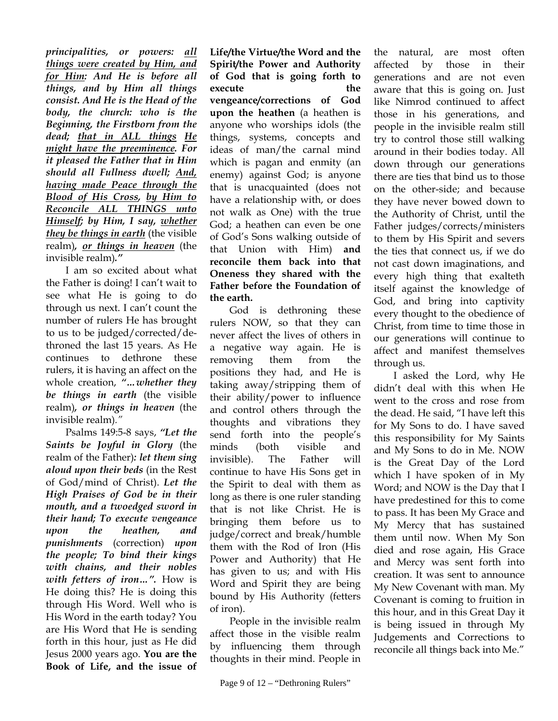*principalities, or powers: all things were created by Him, and for Him: And He is before all things, and by Him all things consist. And He is the Head of the body, the church: who is the Beginning, the Firstborn from the dead; that in ALL things He might have the preeminence. For it pleased the Father that in Him should all Fullness dwell; And, having made Peace through the Blood of His Cross, by Him to Reconcile ALL THINGS unto Himself; by Him, I say, whether they be things in earth* (the visible realm)*, or things in heaven* (the invisible realm)*."* 

I am so excited about what the Father is doing! I can't wait to see what He is going to do through us next. I can't count the number of rulers He has brought to us to be judged/corrected/dethroned the last 15 years. As He continues to dethrone these rulers, it is having an affect on the whole creation, *"…whether they be things in earth* (the visible realm)*, or things in heaven* (the invisible realm)*."* 

Psalms 149:5-8 says, *"Let the Saints be Joyful in Glory* (the realm of the Father)*: let them sing aloud upon their beds* (in the Rest of God/mind of Christ). *Let the High Praises of God be in their mouth, and a twoedged sword in their hand; To execute vengeance upon the heathen, and punishments* (correction) *upon the people; To bind their kings with chains, and their nobles with fetters of iron…".* How is He doing this? He is doing this through His Word. Well who is His Word in the earth today? You are His Word that He is sending forth in this hour, just as He did Jesus 2000 years ago. **You are the Book of Life, and the issue of**  **Life/the Virtue/the Word and the Spirit/the Power and Authority of God that is going forth to execute** the the **vengeance/corrections of God upon the heathen** (a heathen is anyone who worships idols (the things, systems, concepts and ideas of man/the carnal mind which is pagan and enmity (an enemy) against God; is anyone that is unacquainted (does not have a relationship with, or does not walk as One) with the true God; a heathen can even be one of God's Sons walking outside of that Union with Him) **and reconcile them back into that Oneness they shared with the Father before the Foundation of the earth.**

God is dethroning these rulers NOW, so that they can never affect the lives of others in a negative way again. He is removing them from the positions they had, and He is taking away/stripping them of their ability/power to influence and control others through the thoughts and vibrations they send forth into the people's minds (both visible and invisible). The Father will continue to have His Sons get in the Spirit to deal with them as long as there is one ruler standing that is not like Christ. He is bringing them before us to judge/correct and break/humble them with the Rod of Iron (His Power and Authority) that He has given to us; and with His Word and Spirit they are being bound by His Authority (fetters of iron).

People in the invisible realm affect those in the visible realm by influencing them through thoughts in their mind. People in

the natural, are most often affected by those in their generations and are not even aware that this is going on. Just like Nimrod continued to affect those in his generations, and people in the invisible realm still try to control those still walking around in their bodies today. All down through our generations there are ties that bind us to those on the other-side; and because they have never bowed down to the Authority of Christ, until the Father judges/corrects/ministers to them by His Spirit and severs the ties that connect us, if we do not cast down imaginations, and every high thing that exalteth itself against the knowledge of God, and bring into captivity every thought to the obedience of Christ, from time to time those in our generations will continue to affect and manifest themselves through us.

I asked the Lord, why He didn't deal with this when He went to the cross and rose from the dead. He said, "I have left this for My Sons to do. I have saved this responsibility for My Saints and My Sons to do in Me. NOW is the Great Day of the Lord which I have spoken of in My Word; and NOW is the Day that I have predestined for this to come to pass. It has been My Grace and My Mercy that has sustained them until now. When My Son died and rose again, His Grace and Mercy was sent forth into creation. It was sent to announce My New Covenant with man. My Covenant is coming to fruition in this hour, and in this Great Day it is being issued in through My Judgements and Corrections to reconcile all things back into Me."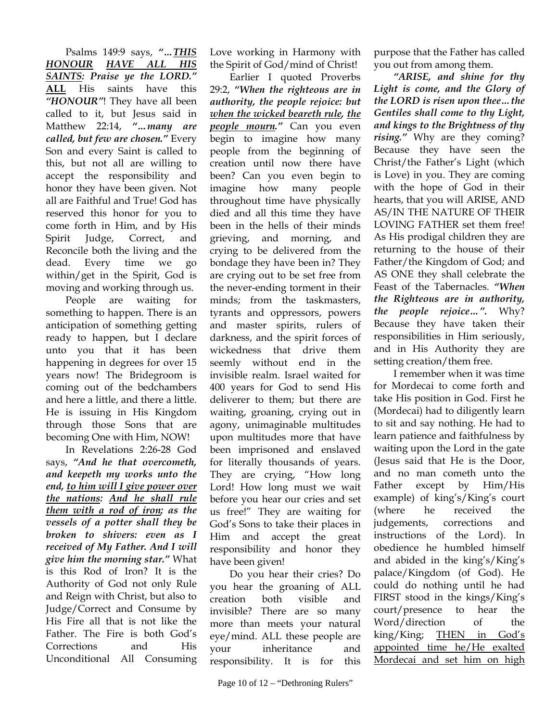Psalms 149:9 says, *"…THIS HONOUR HAVE ALL HIS SAINTS: Praise ye the LORD."* **ALL** His saints have this *"HONOUR"*! They have all been called to it, but Jesus said in Matthew 22:14, *"…many are called, but few are chosen."* Every Son and every Saint is called to this, but not all are willing to accept the responsibility and honor they have been given. Not all are Faithful and True! God has reserved this honor for you to come forth in Him, and by His Spirit Judge, Correct, and Reconcile both the living and the dead. Every time we go within/get in the Spirit, God is moving and working through us.

People are waiting for something to happen. There is an anticipation of something getting ready to happen, but I declare unto you that it has been happening in degrees for over 15 years now! The Bridegroom is coming out of the bedchambers and here a little, and there a little. He is issuing in His Kingdom through those Sons that are becoming One with Him, NOW!

In Revelations 2:26-28 God says, *"And he that overcometh, and keepeth my works unto the end, to him will I give power over the nations: And he shall rule them with a rod of iron; as the vessels of a potter shall they be broken to shivers: even as I received of My Father. And I will give him the morning star."* What is this Rod of Iron? It is the Authority of God not only Rule and Reign with Christ, but also to Judge/Correct and Consume by His Fire all that is not like the Father. The Fire is both God's Corrections and His Unconditional All Consuming

Love working in Harmony with the Spirit of God/mind of Christ!

Earlier I quoted Proverbs 29:2, *"When the righteous are in authority, the people rejoice: but when the wicked beareth rule, the people mourn."* Can you even begin to imagine how many people from the beginning of creation until now there have been? Can you even begin to imagine how many people throughout time have physically died and all this time they have been in the hells of their minds grieving, and morning, and crying to be delivered from the bondage they have been in? They are crying out to be set free from the never-ending torment in their minds; from the taskmasters, tyrants and oppressors, powers and master spirits, rulers of darkness, and the spirit forces of wickedness that drive them seemly without end in the invisible realm. Israel waited for 400 years for God to send His deliverer to them; but there are waiting, groaning, crying out in agony, unimaginable multitudes upon multitudes more that have been imprisoned and enslaved for literally thousands of years. They are crying, "How long Lord! How long must we wait before you hear our cries and set us free!" They are waiting for God's Sons to take their places in Him and accept the great responsibility and honor they have been given!

Do you hear their cries? Do you hear the groaning of ALL creation both visible and invisible? There are so many more than meets your natural eye/mind. ALL these people are your inheritance and responsibility. It is for this purpose that the Father has called you out from among them.

*"ARISE, and shine for thy Light is come, and the Glory of the LORD is risen upon thee…the Gentiles shall come to thy Light, and kings to the Brightness of thy rising."* Why are they coming? Because they have seen the Christ/the Father's Light (which is Love) in you. They are coming with the hope of God in their hearts, that you will ARISE, AND AS/IN THE NATURE OF THEIR LOVING FATHER set them free! As His prodigal children they are returning to the house of their Father/the Kingdom of God; and AS ONE they shall celebrate the Feast of the Tabernacles. *"When the Righteous are in authority, the people rejoice…".* Why? Because they have taken their responsibilities in Him seriously, and in His Authority they are setting creation/them free.

 I remember when it was time for Mordecai to come forth and take His position in God. First he (Mordecai) had to diligently learn to sit and say nothing. He had to learn patience and faithfulness by waiting upon the Lord in the gate (Jesus said that He is the Door, and no man cometh unto the Father except by Him/His example) of king's/King's court (where he received the judgements, corrections and instructions of the Lord). In obedience he humbled himself and abided in the king's/King's palace/Kingdom (of God). He could do nothing until he had FIRST stood in the kings/King's court/presence to hear the Word/direction of the king/King; THEN in God's appointed time he/He exalted Mordecai and set him on high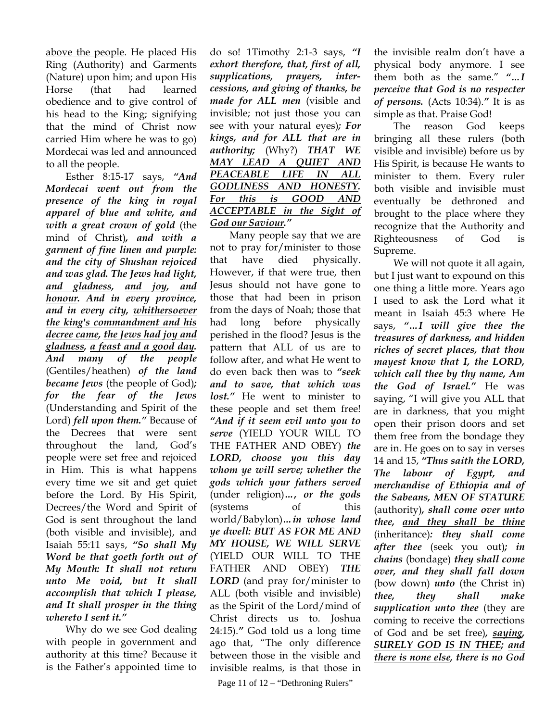above the people. He placed His Ring (Authority) and Garments (Nature) upon him; and upon His Horse (that had learned obedience and to give control of his head to the King; signifying that the mind of Christ now carried Him where he was to go) Mordecai was led and announced to all the people.

 Esther 8:15-17 says, *"And Mordecai went out from the presence of the king in royal apparel of blue and white, and with a great crown of gold* (the mind of Christ)*, and with a garment of fine linen and purple: and the city of Shushan rejoiced and was glad. The Jews had light, and gladness, and joy, and honour. And in every province, and in every city, whithersoever the king's commandment and his decree came, the Jews had joy and gladness, a feast and a good day. And many of the people*  (Gentiles/heathen) *of the land became Jews* (the people of God)*; for the fear of the Jews*  (Understanding and Spirit of the Lord) *fell upon them."* Because of the Decrees that were sent throughout the land, God's people were set free and rejoiced in Him. This is what happens every time we sit and get quiet before the Lord. By His Spirit, Decrees/the Word and Spirit of God is sent throughout the land (both visible and invisible), and Isaiah 55:11 says, *"So shall My Word be that goeth forth out of My Mouth: It shall not return unto Me void, but It shall accomplish that which I please, and It shall prosper in the thing whereto I sent it."*

 Why do we see God dealing with people in government and authority at this time? Because it is the Father's appointed time to

do so! 1Timothy 2:1-3 says, *"I exhort therefore, that, first of all, supplications, prayers, intercessions, and giving of thanks, be made for ALL men* (visible and invisible; not just those you can see with your natural eyes)*; For kings, and for ALL that are in authority;* (Why?) *THAT WE MAY LEAD A QUIET AND PEACEABLE LIFE IN ALL GODLINESS AND HONESTY. For this is GOOD AND ACCEPTABLE in the Sight of God our Saviour."*

 Many people say that we are not to pray for/minister to those that have died physically. However, if that were true, then Jesus should not have gone to those that had been in prison from the days of Noah; those that had long before physically perished in the flood? Jesus is the pattern that ALL of us are to follow after, and what He went to do even back then was to *"seek and to save, that which was*  lost." He went to minister to these people and set them free! *"And if it seem evil unto you to serve* (YIELD YOUR WILL TO THE FATHER AND OBEY) *the LORD, choose you this day whom ye will serve; whether the gods which your fathers served* (under religion)*…, or the gods* (systems of this world/Babylon)*…in whose land ye dwell: BUT AS FOR ME AND MY HOUSE, WE WILL SERVE* (YIELD OUR WILL TO THE FATHER AND OBEY) *THE LORD* (and pray for/minister to ALL (both visible and invisible) as the Spirit of the Lord/mind of Christ directs us to. Joshua 24:15).*"* God told us a long time ago that, "The only difference between those in the visible and invisible realms, is that those in

Page 11 of 12 – "Dethroning Rulers"

the invisible realm don't have a physical body anymore. I see them both as the same." *"…I perceive that God is no respecter of persons.* (Acts 10:34).*"* It is as simple as that. Praise God!

The reason God keeps bringing all these rulers (both visible and invisible) before us by His Spirit, is because He wants to minister to them. Every ruler both visible and invisible must eventually be dethroned and brought to the place where they recognize that the Authority and Righteousness of God is Supreme.

We will not quote it all again, but I just want to expound on this one thing a little more. Years ago I used to ask the Lord what it meant in Isaiah 45:3 where He says, *"…I will give thee the treasures of darkness, and hidden riches of secret places, that thou mayest know that I, the LORD, which call thee by thy name, Am the God of Israel."* He was saying, "I will give you ALL that are in darkness, that you might open their prison doors and set them free from the bondage they are in. He goes on to say in verses 14 and 15, *"Thus saith the LORD, The labour of Egypt, and merchandise of Ethiopia and of the Sabeans, MEN OF STATURE* (authority)*, shall come over unto thee, and they shall be thine*  (inheritance)*: they shall come after thee* (seek you out)*; in chains* (bondage) *they shall come over, and they shall fall down*  (bow down) *unto* (the Christ in) *thee, they shall make supplication unto thee* (they are coming to receive the corrections of God and be set free)*, saying, SURELY GOD IS IN THEE; and there is none else, there is no God*